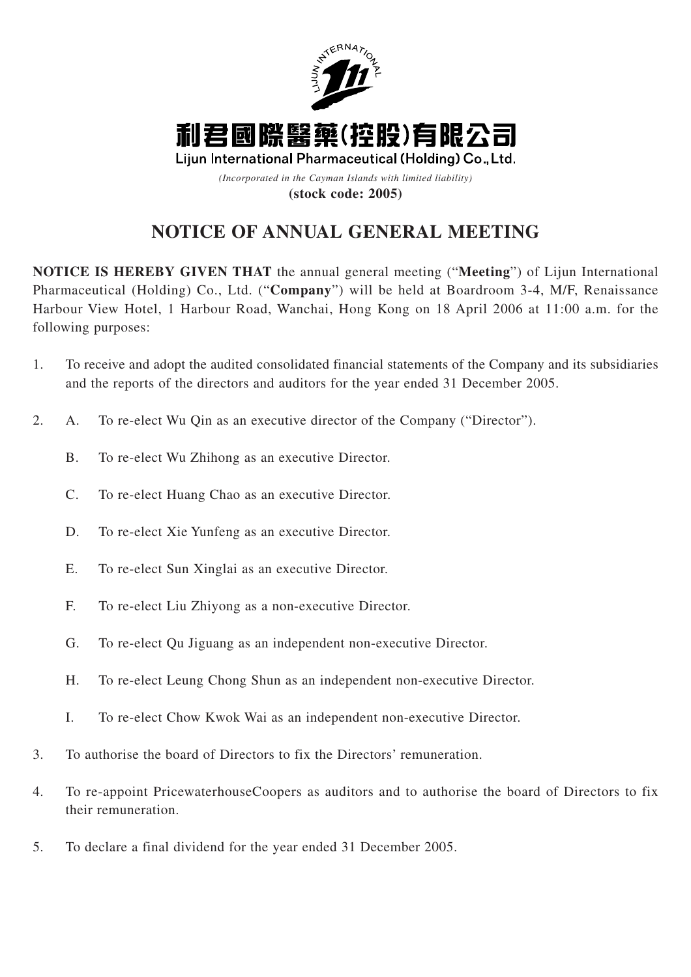

# **NOTICE OF ANNUAL GENERAL MEETING**

**NOTICE IS HEREBY GIVEN THAT** the annual general meeting ("**Meeting**") of Lijun International Pharmaceutical (Holding) Co., Ltd. ("**Company**") will be held at Boardroom 3-4, M/F, Renaissance Harbour View Hotel, 1 Harbour Road, Wanchai, Hong Kong on 18 April 2006 at 11:00 a.m. for the following purposes:

- 1. To receive and adopt the audited consolidated financial statements of the Company and its subsidiaries and the reports of the directors and auditors for the year ended 31 December 2005.
- 2. A. To re-elect Wu Qin as an executive director of the Company ("Director").
	- B. To re-elect Wu Zhihong as an executive Director.
	- C. To re-elect Huang Chao as an executive Director.
	- D. To re-elect Xie Yunfeng as an executive Director.
	- E. To re-elect Sun Xinglai as an executive Director.
	- F. To re-elect Liu Zhiyong as a non-executive Director.
	- G. To re-elect Qu Jiguang as an independent non-executive Director.
	- H. To re-elect Leung Chong Shun as an independent non-executive Director.
	- I. To re-elect Chow Kwok Wai as an independent non-executive Director.
- 3. To authorise the board of Directors to fix the Directors' remuneration.
- 4. To re-appoint PricewaterhouseCoopers as auditors and to authorise the board of Directors to fix their remuneration.
- 5. To declare a final dividend for the year ended 31 December 2005.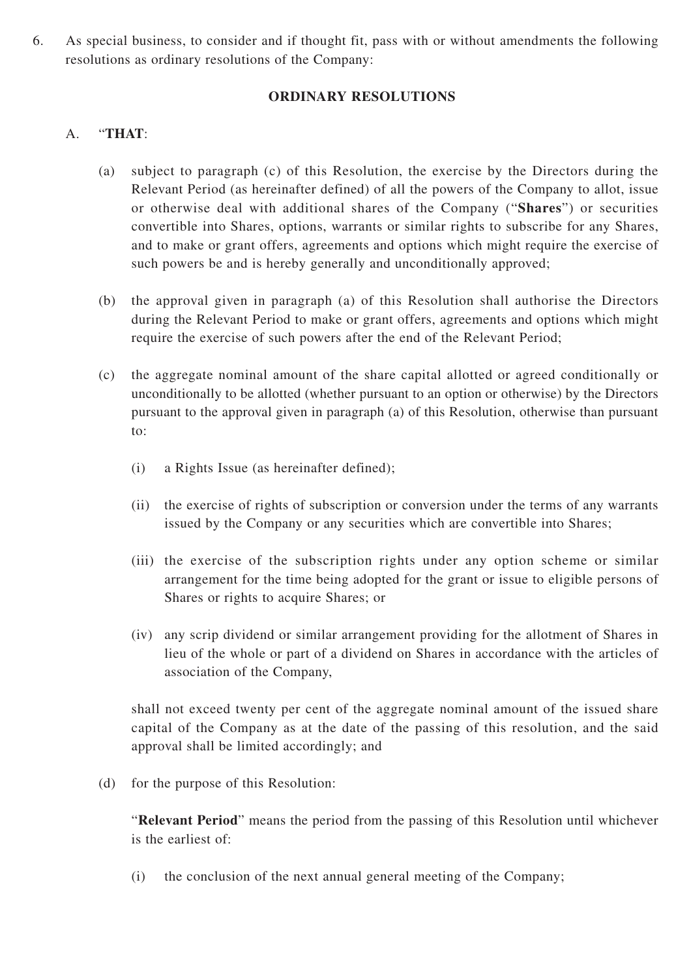6. As special business, to consider and if thought fit, pass with or without amendments the following resolutions as ordinary resolutions of the Company:

### **ORDINARY RESOLUTIONS**

## A. "**THAT**:

- (a) subject to paragraph (c) of this Resolution, the exercise by the Directors during the Relevant Period (as hereinafter defined) of all the powers of the Company to allot, issue or otherwise deal with additional shares of the Company ("**Shares**") or securities convertible into Shares, options, warrants or similar rights to subscribe for any Shares, and to make or grant offers, agreements and options which might require the exercise of such powers be and is hereby generally and unconditionally approved;
- (b) the approval given in paragraph (a) of this Resolution shall authorise the Directors during the Relevant Period to make or grant offers, agreements and options which might require the exercise of such powers after the end of the Relevant Period;
- (c) the aggregate nominal amount of the share capital allotted or agreed conditionally or unconditionally to be allotted (whether pursuant to an option or otherwise) by the Directors pursuant to the approval given in paragraph (a) of this Resolution, otherwise than pursuant to:
	- (i) a Rights Issue (as hereinafter defined);
	- (ii) the exercise of rights of subscription or conversion under the terms of any warrants issued by the Company or any securities which are convertible into Shares;
	- (iii) the exercise of the subscription rights under any option scheme or similar arrangement for the time being adopted for the grant or issue to eligible persons of Shares or rights to acquire Shares; or
	- (iv) any scrip dividend or similar arrangement providing for the allotment of Shares in lieu of the whole or part of a dividend on Shares in accordance with the articles of association of the Company,

shall not exceed twenty per cent of the aggregate nominal amount of the issued share capital of the Company as at the date of the passing of this resolution, and the said approval shall be limited accordingly; and

(d) for the purpose of this Resolution:

"**Relevant Period**" means the period from the passing of this Resolution until whichever is the earliest of:

(i) the conclusion of the next annual general meeting of the Company;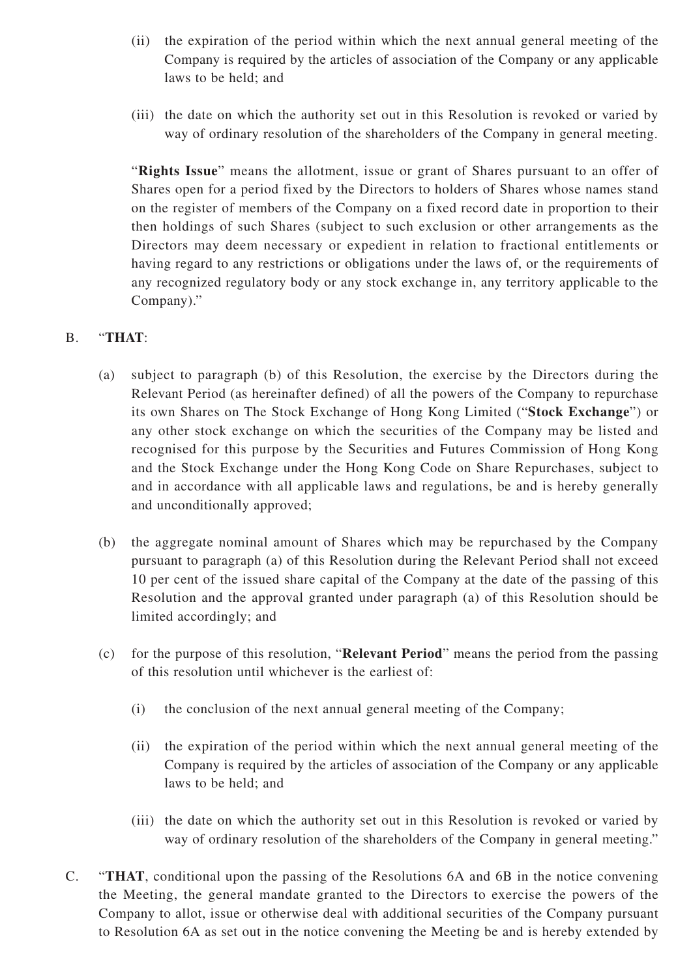- (ii) the expiration of the period within which the next annual general meeting of the Company is required by the articles of association of the Company or any applicable laws to be held; and
- (iii) the date on which the authority set out in this Resolution is revoked or varied by way of ordinary resolution of the shareholders of the Company in general meeting.

"**Rights Issue**" means the allotment, issue or grant of Shares pursuant to an offer of Shares open for a period fixed by the Directors to holders of Shares whose names stand on the register of members of the Company on a fixed record date in proportion to their then holdings of such Shares (subject to such exclusion or other arrangements as the Directors may deem necessary or expedient in relation to fractional entitlements or having regard to any restrictions or obligations under the laws of, or the requirements of any recognized regulatory body or any stock exchange in, any territory applicable to the Company)."

# B. "**THAT**:

- (a) subject to paragraph (b) of this Resolution, the exercise by the Directors during the Relevant Period (as hereinafter defined) of all the powers of the Company to repurchase its own Shares on The Stock Exchange of Hong Kong Limited ("**Stock Exchange**") or any other stock exchange on which the securities of the Company may be listed and recognised for this purpose by the Securities and Futures Commission of Hong Kong and the Stock Exchange under the Hong Kong Code on Share Repurchases, subject to and in accordance with all applicable laws and regulations, be and is hereby generally and unconditionally approved;
- (b) the aggregate nominal amount of Shares which may be repurchased by the Company pursuant to paragraph (a) of this Resolution during the Relevant Period shall not exceed 10 per cent of the issued share capital of the Company at the date of the passing of this Resolution and the approval granted under paragraph (a) of this Resolution should be limited accordingly; and
- (c) for the purpose of this resolution, "**Relevant Period**" means the period from the passing of this resolution until whichever is the earliest of:
	- (i) the conclusion of the next annual general meeting of the Company;
	- (ii) the expiration of the period within which the next annual general meeting of the Company is required by the articles of association of the Company or any applicable laws to be held; and
	- (iii) the date on which the authority set out in this Resolution is revoked or varied by way of ordinary resolution of the shareholders of the Company in general meeting."
- C. "**THAT**, conditional upon the passing of the Resolutions 6A and 6B in the notice convening the Meeting, the general mandate granted to the Directors to exercise the powers of the Company to allot, issue or otherwise deal with additional securities of the Company pursuant to Resolution 6A as set out in the notice convening the Meeting be and is hereby extended by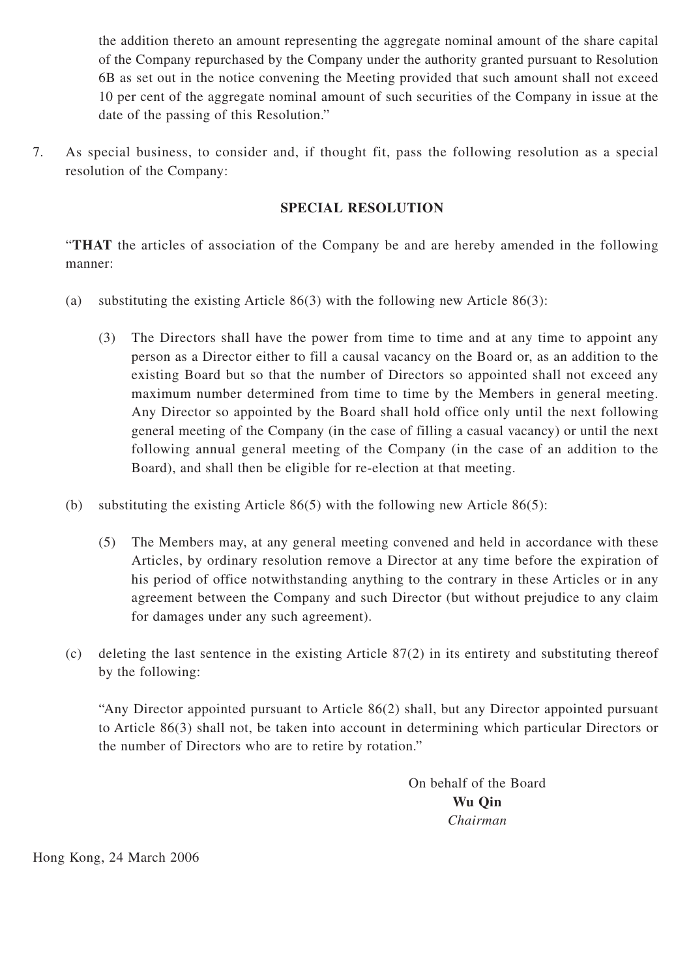the addition thereto an amount representing the aggregate nominal amount of the share capital of the Company repurchased by the Company under the authority granted pursuant to Resolution 6B as set out in the notice convening the Meeting provided that such amount shall not exceed 10 per cent of the aggregate nominal amount of such securities of the Company in issue at the date of the passing of this Resolution."

7. As special business, to consider and, if thought fit, pass the following resolution as a special resolution of the Company:

## **SPECIAL RESOLUTION**

"**THAT** the articles of association of the Company be and are hereby amended in the following manner:

- (a) substituting the existing Article 86(3) with the following new Article 86(3):
	- (3) The Directors shall have the power from time to time and at any time to appoint any person as a Director either to fill a causal vacancy on the Board or, as an addition to the existing Board but so that the number of Directors so appointed shall not exceed any maximum number determined from time to time by the Members in general meeting. Any Director so appointed by the Board shall hold office only until the next following general meeting of the Company (in the case of filling a casual vacancy) or until the next following annual general meeting of the Company (in the case of an addition to the Board), and shall then be eligible for re-election at that meeting.
- (b) substituting the existing Article 86(5) with the following new Article 86(5):
	- (5) The Members may, at any general meeting convened and held in accordance with these Articles, by ordinary resolution remove a Director at any time before the expiration of his period of office notwithstanding anything to the contrary in these Articles or in any agreement between the Company and such Director (but without prejudice to any claim for damages under any such agreement).
- (c) deleting the last sentence in the existing Article 87(2) in its entirety and substituting thereof by the following:

"Any Director appointed pursuant to Article 86(2) shall, but any Director appointed pursuant to Article 86(3) shall not, be taken into account in determining which particular Directors or the number of Directors who are to retire by rotation."

> On behalf of the Board **Wu Qin** *Chairman*

Hong Kong, 24 March 2006